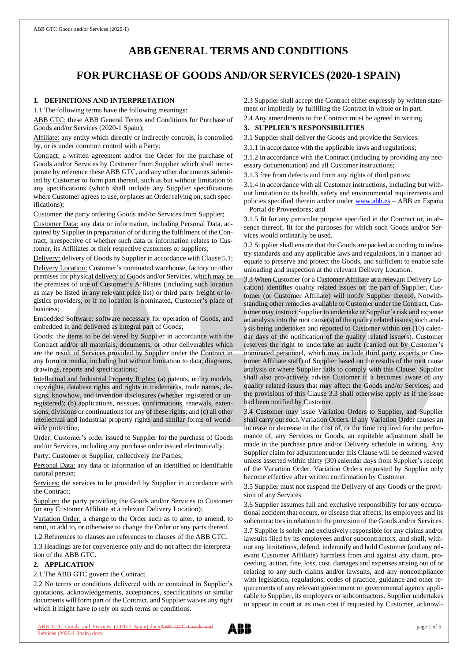# **ABB GENERAL TERMS AND CONDITIONS**

## **FOR PURCHASE OF GOODS AND/OR SERVICES (2020-1 SPAIN)**

## **1. DEFINITIONS AND INTERPRETATION**

1.1 The following terms have the following meanings:

ABB GTC: these ABB General Terms and Conditions for Purchase of Goods and/or Services (2020-1 Spain);

Affiliate: any entity which directly or indirectly controls, is controlled by, or is under common control with a Party;

Contract: a written agreement and/or the Order for the purchase of Goods and/or Services by Customer from Supplier which shall incorporate by reference these ABB GTC, and any other documents submitted by Customer to form part thereof, such as but without limitation to any specifications (which shall include any Supplier specifications where Customer agrees to use, or places an Order relying on, such specifications);

Customer: the party ordering Goods and/or Services from Supplier;

Customer Data: any data or information, including Personal Data, acquired by Supplier in preparation of or during the fulfilment of the Contract, irrespective of whether such data or information relates to Customer, its Affiliates or their respective customers or suppliers;

Delivery: delivery of Goods by Supplier in accordance with Clause 5.1; Delivery Location: Customer's nominated warehouse, factory or other premises for physical delivery of Goods and/or Services, which may be the premises of one of Customer's Affiliates (including such location as may be listed in any relevant price list) or third party freight or logistics providers, or if no location is nominated, Customer's place of business;

Embedded Software: software necessary for operation of Goods, and embedded in and delivered as integral part of Goods;

Goods: the items to be delivered by Supplier in accordance with the Contract and/or all materials, documents, or other deliverables which are the result of Services provided by Supplier under the Contract in any form or media, including but without limitation to data, diagrams, drawings, reports and specifications;

Intellectual and Industrial Property Rights: (a) patents, utility models, copyrights, database rights and rights in trademarks, trade names, designs, knowhow, and invention disclosures (whether registered or unregistered); (b) applications, reissues, confirmations, renewals, extensions, divisions or continuations for any of these rights; and (c) all other intellectual and industrial property rights and similar forms of worldwide protection;

Order: Customer's order issued to Supplier for the purchase of Goods and/or Services, including any purchase order issued electronically;

Party: Customer or Supplier, collectively the Parties;

Personal Data: any data or information of an identified or identifiable natural person;

Services: the services to be provided by Supplier in accordance with the Contract;

Supplier: the party providing the Goods and/or Services to Customer (or any Customer Affiliate at a relevant Delivery Location);

Variation Order: a change to the Order such as to alter, to amend, to omit, to add to, or otherwise to change the Order or any parts thereof.

1.2 References to clauses are references to clauses of the ABB GTC. 1.3 Headings are for convenience only and do not affect the interpretation of the ABB GTC.

## **2. APPLICATION**

2.1 The ABB GTC govern the Contract.

2.2 No terms or conditions delivered with or contained in Supplier's quotations, acknowledgements, acceptances, specifications or similar documents will form part of the Contract, and Supplier waives any right which it might have to rely on such terms or conditions.

ABB GTC Goods and Services (2020-1 Spain).docxABB GTC Goods and 8 (2020-1 Spain).



2.3 Supplier shall accept the Contract either expressly by written statement or impliedly by fulfilling the Contract in whole or in part.

2.4 Any amendments to the Contract must be agreed in writing.

## **3. SUPPLIER'S RESPONSIBILITIES**

3.1 Supplier shall deliver the Goods and provide the Services:

3.1.1 in accordance with the applicable laws and regulations;

3.1.2 in accordance with the Contract (including by providing any necessary documentation) and all Customer instructions;

3.1.3 free from defects and from any rights of third parties;

3.1.4 in accordance with all Customer instructions, including but without limitation to its health, safety and environmental requirements and policies specified therein and/or under [www.abb.es](http://www.abb.es/) – ABB en España – Portal de Proveedores; and

3.1.5 fit for any particular purpose specified in the Contract or, in absence thereof, fit for the purposes for which such Goods and/or Services would ordinarily be used.

3.2 Supplier shall ensure that the Goods are packed according to industry standards and any applicable laws and regulations, in a manner adequate to preserve and protect the Goods, and sufficient to enable safe unloading and inspection at the relevant Delivery Location.

3.3 When Customer (or a Customer Affiliate at a relevant Delivery Location) identifies quality related issues on the part of Supplier, Customer (or Customer Affiliate) will notify Supplier thereof. Notwithstanding other remedies available to Customer under the Contract, Customer may instruct Supplier to undertake at Supplier's risk and expense an analysis into the root cause(s) of the quality related issues; such analysis being undertaken and reported to Customer within ten (10) calendar days of the notification of the quality related issue(s). Customer reserves the right to undertake an audit (carried out by Customer's nominated personnel, which may include third party experts or Customer Affiliate staff) of Supplier based on the results of the root cause analysis or where Supplier fails to comply with this Clause. Supplier shall also pro-actively advise Customer if it becomes aware of any quality related issues that may affect the Goods and/or Services, and the provisions of this Clause 3.3 shall otherwise apply as if the issue had been notified by Customer.

3.4 Customer may issue Variation Orders to Supplier, and Supplier shall carry out such Variation Orders. If any Variation Order causes an increase or decrease in the cost of, or the time required for the performance of, any Services or Goods, an equitable adjustment shall be made in the purchase price and/or Delivery schedule in writing. Any Supplier claim for adjustment under this Clause will be deemed waived unless asserted within thirty (30) calendar days from Supplier's receipt of the Variation Order. Variation Orders requested by Supplier only become effective after written confirmation by Customer.

3.5 Supplier must not suspend the Delivery of any Goods or the provision of any Services.

3.6 Supplier assumes full and exclusive responsibility for any occupational accident that occurs, or disease that affects, its employees and its subcontractors in relation to the provision of the Goods and/or Services. 3.7 Supplier is solely and exclusively responsible for any claims and/or lawsuits filed by its employees and/or subcontractors, and shall, without any limitations, defend, indemnify and hold Customer (and any relevant Customer Affiliate) harmless from and against any claim, proceeding, action, fine, loss, cost, damages and expenses arising out of or relating to any such claims and/or lawsuits, and any noncompliance with legislation, regulations, codes of practice, guidance and other requirements of any relevant government or governmental agency applicable to Supplier, its employees or subcontractors. Supplier undertakes to appear in court at its own cost if requested by Customer, acknowl-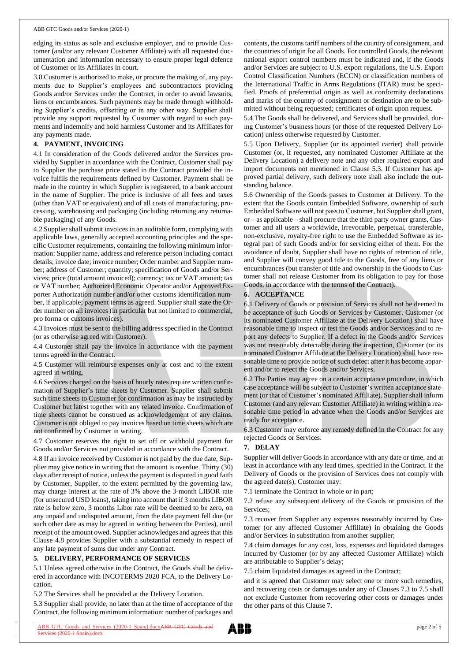#### ABB GTC Goods and/or Services (2020-1)

edging its status as sole and exclusive employer, and to provide Customer (and/or any relevant Customer Affiliate) with all requested documentation and information necessary to ensure proper legal defence of Customer or its Affiliates in court.

3.8 Customer is authorized to make, or procure the making of, any payments due to Supplier's employees and subcontractors providing Goods and/or Services under the Contract, in order to avoid lawsuits, liens or encumbrances. Such payments may be made through withholding Supplier's credits, offsetting or in any other way. Supplier shall provide any support requested by Customer with regard to such payments and indemnify and hold harmless Customer and its Affiliates for any payments made.

## **4. PAYMENT, INVOICING**

4.1 In consideration of the Goods delivered and/or the Services provided by Supplier in accordance with the Contract, Customer shall pay to Supplier the purchase price stated in the Contract provided the invoice fulfils the requirements defined by Customer. Payment shall be made in the country in which Supplier is registered, to a bank account in the name of Supplier. The price is inclusive of all fees and taxes (other than VAT or equivalent) and of all costs of manufacturing, processing, warehousing and packaging (including returning any returnable packaging) of any Goods.

4.2 Supplier shall submit invoices in an auditable form, complying with applicable laws, generally accepted accounting principles and the specific Customer requirements, containing the following minimum information: Supplier name, address and reference person including contact details; invoice date; invoice number; Order number and Supplier number; address of Customer; quantity; specification of Goods and/or Services; price (total amount invoiced); currency; tax or VAT amount; tax or VAT number; Authorized Economic Operator and/or Approved Exporter Authorization number and/or other customs identification number, if applicable; payment terms as agreed. Supplier shall state the Order number on all invoices (in particular but not limited to commercial, pro forma or customs invoices).

4.3 Invoices must be sent to the billing address specified in the Contract (or as otherwise agreed with Customer).

4.4 Customer shall pay the invoice in accordance with the payment terms agreed in the Contract.

4.5 Customer will reimburse expenses only at cost and to the extent agreed in writing.

4.6 Services charged on the basis of hourly rates require written confirmation of Supplier's time sheets by Customer. Supplier shall submit such time sheets to Customer for confirmation as may be instructed by Customer but latest together with any related invoice. Confirmation of time sheets cannot be construed as acknowledgement of any claims. Customer is not obliged to pay invoices based on time sheets which are not confirmed by Customer in writing.

4.7 Customer reserves the right to set off or withhold payment for Goods and/or Services not provided in accordance with the Contract.

4.8 If an invoice received by Customer is not paid by the due date, Supplier may give notice in writing that the amount is overdue. Thirty (30) days after receipt of notice, unless the payment is disputed in good faith by Customer, Supplier, to the extent permitted by the governing law, may charge interest at the rate of 3% above the 3-month LIBOR rate (for unsecured USD loans), taking into account that if 3 months LIBOR rate is below zero, 3 months Libor rate will be deemed to be zero, on any unpaid and undisputed amount, from the date payment fell due (or such other date as may be agreed in writing between the Parties), until receipt of the amount owed. Supplier acknowledges and agrees that this Clause 4.8 provides Supplier with a substantial remedy in respect of any late payment of sums due under any Contract.

## **5. DELIVERY, PERFORMANCE OF SERVICES**

5.1 Unless agreed otherwise in the Contract, the Goods shall be delivered in accordance with INCOTERMS 2020 FCA, to the Delivery Location.

5.2 The Services shall be provided at the Delivery Location.

5.3 Supplier shall provide, no later than at the time of acceptance of the Contract, the following minimum information: number of packages and

contents, the customs tariff numbers of the country of consignment, and the countries of origin for all Goods. For controlled Goods, the relevant national export control numbers must be indicated and, if the Goods and/or Services are subject to U.S. export regulations, the U.S. Export Control Classification Numbers (ECCN) or classification numbers of the International Traffic in Arms Regulations (ITAR) must be specified. Proofs of preferential origin as well as conformity declarations and marks of the country of consignment or destination are to be submitted without being requested; certificates of origin upon request.

5.4 The Goods shall be delivered, and Services shall be provided, during Customer's business hours (or those of the requested Delivery Location) unless otherwise requested by Customer.

5.5 Upon Delivery, Supplier (or its appointed carrier) shall provide Customer (or, if requested, any nominated Customer Affiliate at the Delivery Location) a delivery note and any other required export and import documents not mentioned in Clause 5.3. If Customer has approved partial delivery, such delivery note shall also include the outstanding balance.

5.6 Ownership of the Goods passes to Customer at Delivery. To the extent that the Goods contain Embedded Software, ownership of such Embedded Software will not passto Customer, but Supplier shall grant, or – as applicable – shall procure that the third party owner grants, Customer and all users a worldwide, irrevocable, perpetual, transferable, non-exclusive, royalty-free right to use the Embedded Software as integral part of such Goods and/or for servicing either of them. For the avoidance of doubt, Supplier shall have no rights of retention of title, and Supplier will convey good title to the Goods, free of any liens or encumbrances (but transfer of title and ownership in the Goods to Customer shall not release Customer from its obligation to pay for those Goods, in accordance with the terms of the Contract).

#### **6. ACCEPTANCE**

6.1 Delivery of Goods or provision of Services shall not be deemed to be acceptance of such Goods or Services by Customer. Customer (or its nominated Customer Affiliate at the Delivery Location) shall have reasonable time to inspect or test the Goods and/or Services and to report any defects to Supplier. If a defect in the Goods and/or Services was not reasonably detectable during the inspection, Customer (or its nominated Customer Affiliate at the Delivery Location) shall have reasonable time to provide notice of such defect after it has become apparent and/or to reject the Goods and/or Services.

6.2 The Parties may agree on a certain acceptance procedure, in which case acceptance will be subject to Customer's written acceptance statement (or that of Customer's nominated Affiliate). Supplier shall inform Customer (and any relevant Customer Affiliate) in writing within a reasonable time period in advance when the Goods and/or Services are ready for acceptance.

6.3 Customer may enforce any remedy defined in the Contract for any rejected Goods or Services.

#### **7. DELAY**

Supplier will deliver Goods in accordance with any date or time, and at least in accordance with any lead times, specified in the Contract. If the Delivery of Goods or the provision of Services does not comply with the agreed date(s), Customer may:

7.1 terminate the Contract in whole or in part;

7.2 refuse any subsequent delivery of the Goods or provision of the Services;

7.3 recover from Supplier any expenses reasonably incurred by Customer (or any affected Customer Affiliate) in obtaining the Goods and/or Services in substitution from another supplier;

7.4 claim damages for any cost, loss, expenses and liquidated damages incurred by Customer (or by any affected Customer Affiliate) which are attributable to Supplier's delay;

7.5 claim liquidated damages as agreed in the Contract;

and it is agreed that Customer may select one or more such remedies, and recovering costs or damages under any of Clauses 7.3 to 7.5 shall not exclude Customer from recovering other costs or damages under the other parts of this Clause 7.

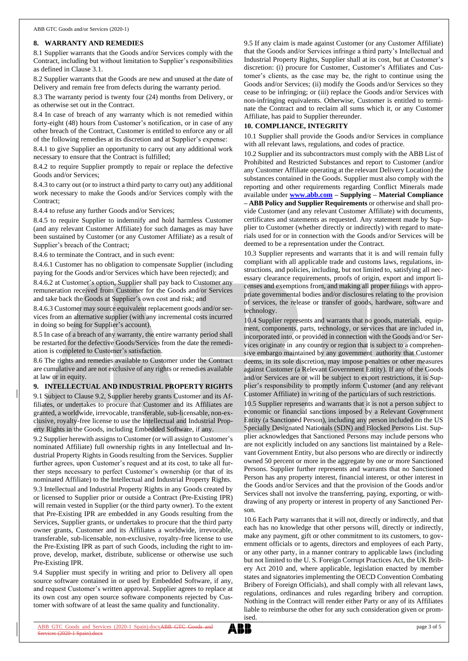#### **8. WARRANTY AND REMEDIES**

8.1 Supplier warrants that the Goods and/or Services comply with the Contract, including but without limitation to Supplier's responsibilities as defined in Clause 3.1.

8.2 Supplier warrants that the Goods are new and unused at the date of Delivery and remain free from defects during the warranty period.

8.3 The warranty period is twenty four (24) months from Delivery, or as otherwise set out in the Contract.

8.4 In case of breach of any warranty which is not remedied within forty-eight (48) hours from Customer's notification, or in case of any other breach of the Contract, Customer is entitled to enforce any or all of the following remedies at its discretion and at Supplier's expense:

8.4.1 to give Supplier an opportunity to carry out any additional work necessary to ensure that the Contract is fulfilled;

8.4.2 to require Supplier promptly to repair or replace the defective Goods and/or Services;

8.4.3 to carry out (or to instruct a third party to carry out) any additional work necessary to make the Goods and/or Services comply with the Contract;

8.4.4 to refuse any further Goods and/or Services;

8.4.5 to require Supplier to indemnify and hold harmless Customer (and any relevant Customer Affiliate) for such damages as may have been sustained by Customer (or any Customer Affiliate) as a result of Supplier's breach of the Contract;

8.4.6 to terminate the Contract, and in such event:

8.4.6.1 Customer has no obligation to compensate Supplier (including paying for the Goods and/or Services which have been rejected); and

8.4.6.2 at Customer's option, Supplier shall pay back to Customer any remuneration received from Customer for the Goods and/or Services and take back the Goods at Supplier's own cost and risk; and

8.4.6.3 Customer may source equivalent replacement goods and/or services from an alternative supplier (with any incremental costs incurred in doing so being for Supplier's account).

8.5 In case of a breach of any warranty, the entire warranty period shall be restarted for the defective Goods/Services from the date the remediation is completed to Customer's satisfaction.

8.6 The rights and remedies available to Customer under the Contract are cumulative and are not exclusive of any rights or remedies available at law or in equity.

**9. INTELLECTUAL AND INDUSTRIAL PROPERTY RIGHTS**

9.1 Subject to Clause 9.2, Supplier hereby grants Customer and its Affiliates, or undertakes to procure that Customer and its Affiliates are granted, a worldwide, irrevocable, transferable, sub-licensable, non-exclusive, royalty-free license to use the Intellectual and Industrial Property Rights in the Goods, including Embedded Software, if any.

9.2 Supplier herewith assigns to Customer (or will assign to Customer's nominated Affiliate) full ownership rights in any Intellectual and Industrial Property Rights in Goods resulting from the Services. Supplier further agrees, upon Customer's request and at its cost, to take all further steps necessary to perfect Customer's ownership (or that of its nominated Affiliate) to the Intellectual and Industrial Property Rights.

9.3 Intellectual and Industrial Property Rights in any Goods created by or licensed to Supplier prior or outside a Contract (Pre-Existing IPR) will remain vested in Supplier (or the third party owner). To the extent that Pre-Existing IPR are embedded in any Goods resulting from the Services, Supplier grants, or undertakes to procure that the third party owner grants, Customer and its Affiliates a worldwide, irrevocable, transferable, sub-licensable, non-exclusive, royalty-free license to use the Pre-Existing IPR as part of such Goods, including the right to improve, develop, market, distribute, sublicense or otherwise use such Pre-Existing IPR.

9.4 Supplier must specify in writing and prior to Delivery all open source software contained in or used by Embedded Software, if any, and request Customer's written approval. Supplier agrees to replace at its own cost any open source software components rejected by Customer with software of at least the same quality and functionality.

9.5 If any claim is made against Customer (or any Customer Affiliate) that the Goods and/or Services infringe a third party's Intellectual and Industrial Property Rights, Supplier shall at its cost, but at Customer's discretion: (i) procure for Customer, Customer's Affiliates and Customer's clients, as the case may be, the right to continue using the Goods and/or Services; (ii) modify the Goods and/or Services so they cease to be infringing; or (iii) replace the Goods and/or Services with non-infringing equivalents. Otherwise, Customer is entitled to terminate the Contract and to reclaim all sums which it, or any Customer Affiliate, has paid to Supplier thereunder.

#### **10. COMPLIANCE, INTEGRITY**

10.1 Supplier shall provide the Goods and/or Services in compliance with all relevant laws, regulations, and codes of practice.

10.2 Supplier and its subcontractors must comply with the ABB List of Prohibited and Restricted Substances and report to Customer (and/or any Customer Affiliate operating at the relevant Delivery Location) the substances contained in the Goods. Supplier must also comply with the reporting and other requirements regarding Conflict Minerals made available under **[www.abb.com](http://www.abb.com/) – Supplying – Material Compliance – ABB Policy and Supplier Requirements** or otherwise and shall provide Customer (and any relevant Customer Affiliate) with documents, certificates and statements as requested. Any statement made by Supplier to Customer (whether directly or indirectly) with regard to materials used for or in connection with the Goods and/or Services will be deemed to be a representation under the Contract.

10.3 Supplier represents and warrants that it is and will remain fully compliant with all applicable trade and customs laws, regulations, instructions, and policies, including, but not limited to, satisfying all necessary clearance requirements, proofs of origin, export and import licenses and exemptions from, and making all proper filings with appropriate governmental bodies and/or disclosures relating to the provision of services, the release or transfer of goods, hardware, software and technology.

10.4 Supplier represents and warrants that no goods, materials, equipment, components, parts, technology, or services that are included in, incorporated into, or provided in connection with the Goods and/or Services originate in any country or region that is subject to a comprehensive embargo maintained by any government authority that Customer deems, in its sole discretion, may impose penalties or other measures against Customer (a Relevant Government Entity). If any of the Goods and/or Services are or will be subject to export restrictions, it is Supplier's responsibility to promptly inform Customer (and any relevant Customer Affiliate) in writing of the particulars of such restrictions.

10.5 Supplier represents and warrants that it is not a person subject to economic or financial sanctions imposed by a Relevant Government Entity (a Sanctioned Person), including any person included on the US Specially Designated Nationals (SDN) and Blocked Persons List. Supplier acknowledges that Sanctioned Persons may include persons who are not explicitly included on any sanctions list maintained by a Relevant Government Entity, but also persons who are directly or indirectly owned 50 percent or more in the aggregate by one or more Sanctioned Persons. Supplier further represents and warrants that no Sanctioned Person has any property interest, financial interest, or other interest in the Goods and/or Services and that the provision of the Goods and/or Services shall not involve the transferring, paying, exporting, or withdrawing of any property or interest in property of any Sanctioned Person.

10.6 Each Party warrants that it will not, directly or indirectly, and that each has no knowledge that other persons will, directly or indirectly, make any payment, gift or other commitment to its customers, to government officials or to agents, directors and employees of each Party, or any other party, in a manner contrary to applicable laws (including but not limited to the U. S. Foreign Corrupt Practices Act, the UK Bribery Act 2010 and, where applicable, legislation enacted by member states and signatories implementing the OECD Convention Combating Bribery of Foreign Officials), and shall comply with all relevant laws, regulations, ordinances and rules regarding bribery and corruption. Nothing in the Contract will render either Party or any of its Affiliates liable to reimburse the other for any such consideration given or promised.

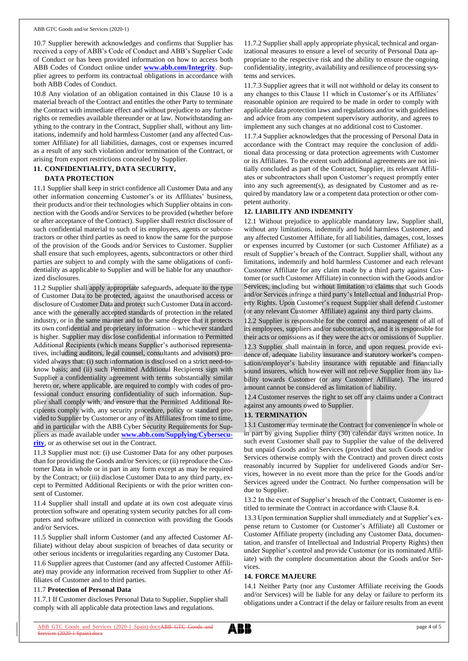10.7 Supplier herewith acknowledges and confirms that Supplier has received a copy of ABB's Code of Conduct and ABB's Supplier Code of Conduct or has been provided information on how to access both ABB Codes of Conduct online under **[www.abb.com/Integrity](http://www.abb.com/Integrity)**. Supplier agrees to perform its contractual obligations in accordance with both ABB Codes of Conduct.

10.8 Any violation of an obligation contained in this Clause 10 is a material breach of the Contract and entitles the other Party to terminate the Contract with immediate effect and without prejudice to any further rights or remedies available thereunder or at law. Notwithstanding anything to the contrary in the Contract, Supplier shall, without any limitations, indemnify and hold harmless Customer (and any affected Customer Affiliate) for all liabilities, damages, cost or expenses incurred as a result of any such violation and/or termination of the Contract, or arising from export restrictions concealed by Supplier.

## **11. CONFIDENTIALITY, DATA SECURITY,**

#### **DATA PROTECTION**

11.1 Supplier shall keep in strict confidence all Customer Data and any other information concerning Customer's or its Affiliates' business, their products and/or their technologies which Supplier obtains in connection with the Goods and/or Services to be provided (whether before or after acceptance of the Contract). Supplier shall restrict disclosure of such confidential material to such of its employees, agents or subcontractors or other third parties as need to know the same for the purpose of the provision of the Goods and/or Services to Customer. Supplier shall ensure that such employees, agents, subcontractors or other third parties are subject to and comply with the same obligations of confidentiality as applicable to Supplier and will be liable for any unauthorized disclosures.

11.2 Supplier shall apply appropriate safeguards, adequate to the type of Customer Data to be protected, against the unauthorised access or disclosure of Customer Data and protect such Customer Data in accordance with the generally accepted standards of protection in the related industry, or in the same manner and to the same degree that it protects its own confidential and proprietary information – whichever standard is higher. Supplier may disclose confidential information to Permitted Additional Recipients (which means Supplier's authorised representatives, including auditors, legal counsel, consultants and advisors) provided always that: (i) such information is disclosed on a strict need-toknow basis; and (ii) such Permitted Additional Recipients sign with Supplier a confidentiality agreement with terms substantially similar hereto or, where applicable, are required to comply with codes of professional conduct ensuring confidentiality of such information. Supplier shall comply with, and ensure that the Permitted Additional Recipients comply with, any security procedure, policy or standard provided to Supplier by Customer or any of its Affiliates from time to time, and in particular with the ABB Cyber Security Requirements for Suppliers as made available under **[www.abb.com/Supplying/Cybersecu](http://www.abb.com/Supplying/Cybersecurity)[rity](http://www.abb.com/Supplying/Cybersecurity)**, or as otherwise set out in the Contract.

11.3 Supplier must not: (i) use Customer Data for any other purposes than for providing the Goods and/or Services; or (ii) reproduce the Customer Data in whole or in part in any form except as may be required by the Contract; or (iii) disclose Customer Data to any third party, except to Permitted Additional Recipients or with the prior written consent of Customer.

11.4 Supplier shall install and update at its own cost adequate virus protection software and operating system security patches for all computers and software utilized in connection with providing the Goods and/or Services.

11.5 Supplier shall inform Customer (and any affected Customer Affiliate) without delay about suspicion of breaches of data security or other serious incidents or irregularities regarding any Customer Data.

11.6 Supplier agrees that Customer (and any affected Customer Affiliate) may provide any information received from Supplier to other Affiliates of Customer and to third parties.

#### 11.7 **Protection of Personal Data**

11.7.1 If Customer discloses Personal Data to Supplier, Supplier shall comply with all applicable data protection laws and regulations.

11.7.2 Supplier shall apply appropriate physical, technical and organizational measures to ensure a level of security of Personal Data appropriate to the respective risk and the ability to ensure the ongoing confidentiality, integrity, availability and resilience of processing systems and services.

11.7.3 Supplier agrees that it will not withhold or delay its consent to any changes to this Clause 11 which in Customer's or its Affiliates' reasonable opinion are required to be made in order to comply with applicable data protection laws and regulations and/or with guidelines and advice from any competent supervisory authority, and agrees to implement any such changes at no additional cost to Customer.

11.7.4 Supplier acknowledges that the processing of Personal Data in accordance with the Contract may require the conclusion of additional data processing or data protection agreements with Customer or its Affiliates. To the extent such additional agreements are not initially concluded as part of the Contract, Supplier, its relevant Affiliates or subcontractors shall upon Customer's request promptly enter into any such agreement(s), as designated by Customer and as required by mandatory law or a competent data protection or other competent authority.

## **12. LIABILITY AND INDEMNITY**

12.1 Without prejudice to applicable mandatory law, Supplier shall, without any limitations, indemnify and hold harmless Customer, and any affected Customer Affiliate, for all liabilities, damages, cost, losses or expenses incurred by Customer (or such Customer Affiliate) as a result of Supplier's breach of the Contract. Supplier shall, without any limitations, indemnify and hold harmless Customer and each relevant Customer Affiliate for any claim made by a third party against Customer (or such Customer Affiliate) in connection with the Goods and/or Services, including but without limitation to claims that such Goods and/or Services infringe a third party's Intellectual and Industrial Property Rights. Upon Customer's request Supplier shall defend Customer (or any relevant Customer Affiliate) against any third party claims.

12.2 Supplier is responsible for the control and management of all of its employees, suppliers and/or subcontractors, and it is responsible for their acts or omissions as if they were the acts or omissions of Supplier.

12.3 Supplier shall maintain in force, and upon request provide evidence of, adequate liability insurance and statutory worker's compensation/employer's liability insurance with reputable and financially sound insurers, which however will not relieve Supplier from any liability towards Customer (or any Customer Affiliate). The insured amount cannot be considered as limitation of liability.

12.4 Customer reserves the right to set off any claims under a Contract against any amounts owed to Supplier.

## **13. TERMINATION**

13.1 Customer may terminate the Contract for convenience in whole or in part by giving Supplier thirty (30) calendar days written notice. In such event Customer shall pay to Supplier the value of the delivered but unpaid Goods and/or Services (provided that such Goods and/or Services otherwise comply with the Contract) and proven direct costs reasonably incurred by Supplier for undelivered Goods and/or Services, however in no event more than the price for the Goods and/or Services agreed under the Contract. No further compensation will be due to Supplier.

13.2 In the event of Supplier's breach of the Contract, Customer is entitled to terminate the Contract in accordance with Clause 8.4.

13.3 Upon termination Supplier shall immediately and at Supplier's expense return to Customer (or Customer's Affiliate) all Customer or Customer Affiliate property (including any Customer Data, documentation, and transfer of Intellectual and Industrial Property Rights) then under Supplier's control and provide Customer (or its nominated Affiliate) with the complete documentation about the Goods and/or Services.

#### **14. FORCE MAJEURE**

14.1 Neither Party (nor any Customer Affiliate receiving the Goods and/or Services) will be liable for any delay or failure to perform its obligations under a Contract if the delay or failure results from an event